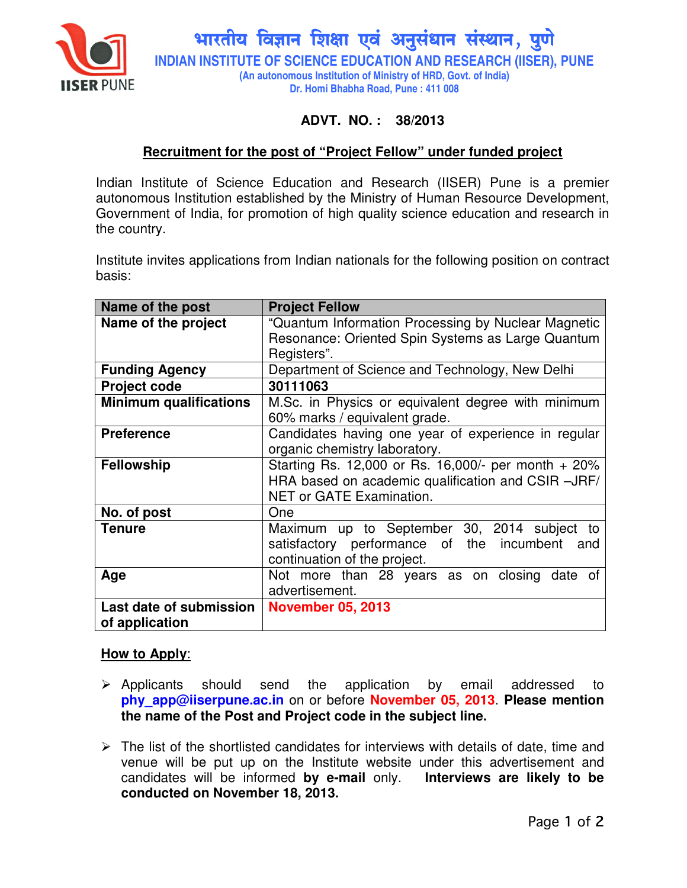

भारतीय विज्ञान शिक्षा एवं अनुसंधान संस्थान, पुणे **INDIAN INSTITUTE OF SCIENCE EDUCATION AND RESEARCH (IISER), PUNE (An autonomous Institution of Ministry of HRD, Govt. of India) Dr. Homi Bhabha Road, Pune : 411 008** 

# **ADVT. NO. : 38/2013**

### **Recruitment for the post of "Project Fellow" under funded project**

Indian Institute of Science Education and Research (IISER) Pune is a premier autonomous Institution established by the Ministry of Human Resource Development, Government of India, for promotion of high quality science education and research in the country.

Institute invites applications from Indian nationals for the following position on contract basis:

| Name of the post                          | <b>Project Fellow</b>                                                                                                                 |
|-------------------------------------------|---------------------------------------------------------------------------------------------------------------------------------------|
| Name of the project                       | "Quantum Information Processing by Nuclear Magnetic<br>Resonance: Oriented Spin Systems as Large Quantum<br>Registers".               |
| <b>Funding Agency</b>                     | Department of Science and Technology, New Delhi                                                                                       |
| <b>Project code</b>                       | 30111063                                                                                                                              |
| <b>Minimum qualifications</b>             | M.Sc. in Physics or equivalent degree with minimum<br>60% marks / equivalent grade.                                                   |
| <b>Preference</b>                         | Candidates having one year of experience in regular<br>organic chemistry laboratory.                                                  |
| <b>Fellowship</b>                         | Starting Rs. 12,000 or Rs. 16,000/- per month + 20%<br>HRA based on academic qualification and CSIR -JRF/<br>NET or GATE Examination. |
| No. of post                               | One                                                                                                                                   |
| <b>Tenure</b>                             | Maximum up to September 30, 2014 subject<br>to<br>satisfactory performance of the incumbent<br>and<br>continuation of the project.    |
| Age                                       | Not more than 28 years as on closing date of<br>advertisement.                                                                        |
| Last date of submission<br>of application | <b>November 05, 2013</b>                                                                                                              |

#### **How to Apply**:

- $\triangleright$  Applicants should send the application by email addressed to **phy\_app@iiserpune.ac.in** on or before **November 05, 2013**. **Please mention the name of the Post and Project code in the subject line.**
- $\triangleright$  The list of the shortlisted candidates for interviews with details of date, time and venue will be put up on the Institute website under this advertisement and candidates will be informed **by e-mail** only. **Interviews are likely to be conducted on November 18, 2013.**